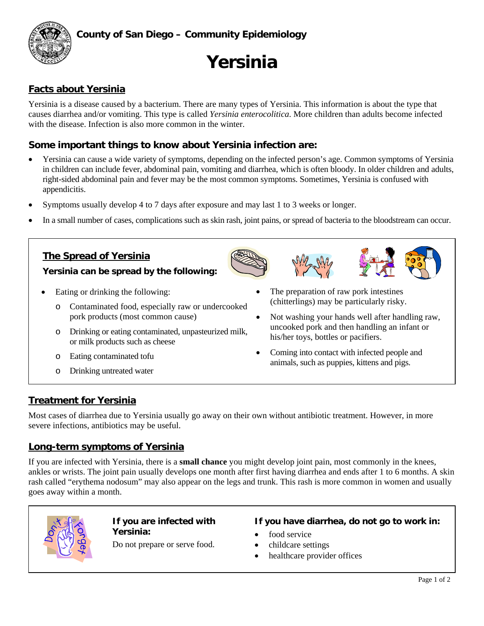

# **Yersinia**

# **Facts about Yersinia**

Yersinia is a disease caused by a bacterium. There are many types of Yersinia. This information is about the type that causes diarrhea and/or vomiting. This type is called *Yersinia enterocolitica*. More children than adults become infected with the disease. Infection is also more common in the winter.

# **Some important things to know about Yersinia infection are:**

- Yersinia can cause a wide variety of symptoms, depending on the infected person's age. Common symptoms of Yersinia in children can include fever, abdominal pain, vomiting and diarrhea, which is often bloody. In older children and adults, right-sided abdominal pain and fever may be the most common symptoms. Sometimes, Yersinia is confused with appendicitis.
- Symptoms usually develop 4 to 7 days after exposure and may last 1 to 3 weeks or longer.
- In a small number of cases, complications such as skin rash, joint pains, or spread of bacteria to the bloodstream can occur.

# **The Spread of Yersinia Yersinia can be spread by the following:**

- Eating or drinking the following:
	- Contaminated food, especially raw or undercooked pork products (most common cause)
	- o Drinking or eating contaminated, unpasteurized milk, or milk products such as cheese
	- o Eating contaminated tofu
	- o Drinking untreated water
- The preparation of raw pork intestines (chitterlings) may be particularly risky.
- Not washing your hands well after handling raw, uncooked pork and then handling an infant or his/her toys, bottles or pacifiers.
- Coming into contact with infected people and animals, such as puppies, kittens and pigs.

# **Treatment for Yersinia**

Most cases of diarrhea due to Yersinia usually go away on their own without antibiotic treatment. However, in more severe infections, antibiotics may be useful.

# **Long-term symptoms of Yersinia**

If you are infected with Yersinia, there is a **small chance** you might develop joint pain, most commonly in the knees, ankles or wrists. The joint pain usually develops one month after first having diarrhea and ends after 1 to 6 months. A skin rash called "erythema nodosum" may also appear on the legs and trunk. This rash is more common in women and usually goes away within a month.



#### **If you are infected with Yersinia:**

Do not prepare or serve food.

#### **If you have diarrhea, do not go to work in:**

- food service
- childcare settings
- healthcare provider offices